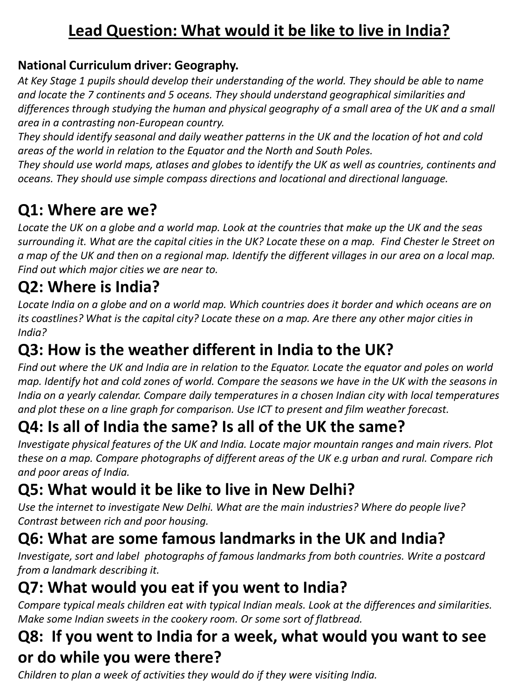## **Lead Question: What would it be like to live in India?**

## **National Curriculum driver: Geography.**

*At Key Stage 1 pupils should develop their understanding of the world. They should be able to name and locate the 7 continents and 5 oceans. They should understand geographical similarities and differences through studying the human and physical geography of a small area of the UK and a small area in a contrasting non-European country.* 

*They should identify seasonal and daily weather patterns in the UK and the location of hot and cold areas of the world in relation to the Equator and the North and South Poles.* 

*They should use world maps, atlases and globes to identify the UK as well as countries, continents and oceans. They should use simple compass directions and locational and directional language.*

# **Q1: Where are we?**

*Locate the UK on a globe and a world map. Look at the countries that make up the UK and the seas surrounding it. What are the capital cities in the UK? Locate these on a map. Find Chester le Street on a map of the UK and then on a regional map. Identify the different villages in our area on a local map. Find out which major cities we are near to.* 

## **Q2: Where is India?**

*Locate India on a globe and on a world map. Which countries does it border and which oceans are on its coastlines? What is the capital city? Locate these on a map. Are there any other major cities in India?*

# **Q3: How is the weather different in India to the UK?**

*Find out where the UK and India are in relation to the Equator. Locate the equator and poles on world map. Identify hot and cold zones of world. Compare the seasons we have in the UK with the seasons in India on a yearly calendar. Compare daily temperatures in a chosen Indian city with local temperatures and plot these on a line graph for comparison. Use ICT to present and film weather forecast.* 

# **Q4: Is all of India the same? Is all of the UK the same?**

*Investigate physical features of the UK and India. Locate major mountain ranges and main rivers. Plot these on a map. Compare photographs of different areas of the UK e.g urban and rural. Compare rich and poor areas of India.* 

# **Q5: What would it be like to live in New Delhi?**

*Use the internet to investigate New Delhi. What are the main industries? Where do people live? Contrast between rich and poor housing.* 

# **Q6: What are some famous landmarks in the UK and India?**

*Investigate, sort and label photographs of famous landmarks from both countries. Write a postcard from a landmark describing it.*

# **Q7: What would you eat if you went to India?**

*Compare typical meals children eat with typical Indian meals. Look at the differences and similarities. Make some Indian sweets in the cookery room. Or some sort of flatbread.* 

## **Q8: If you went to India for a week, what would you want to see or do while you were there?**

*Children to plan a week of activities they would do if they were visiting India.*